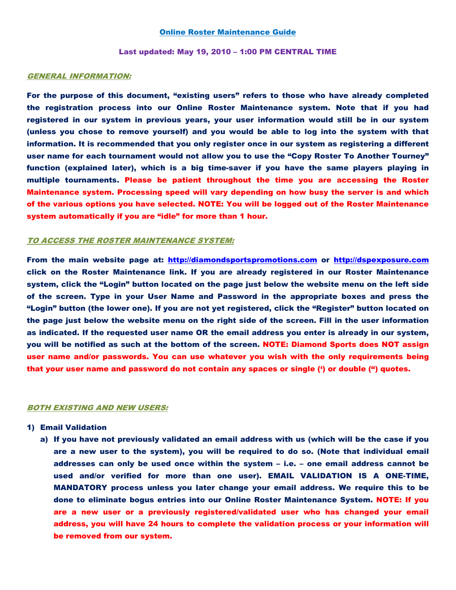## Online Roster Maintenance Guide

Last updated: May 19, 2010 – 1:00 PM CENTRAL TIME

# GENERAL INFORMATION:

For the purpose of this document, "existing users" refers to those who have already completed the registration process into our Online Roster Maintenance system. Note that if you had registered in our system in previous years, your user information would still be in our system (unless you chose to remove yourself) and you would be able to log into the system with that information. It is recommended that you only register once in our system as registering a different user name for each tournament would not allow you to use the "Copy Roster To Another Tourney" function (explained later), which is a big time-saver if you have the same players playing in multiple tournaments. Please be patient throughout the time you are accessing the Roster Maintenance system. Processing speed will vary depending on how busy the server is and which of the various options you have selected. NOTE: You will be logged out of the Roster Maintenance system automatically if you are "idle" for more than 1 hour.

#### TO ACCESS THE ROSTER MAINTENANCE SYSTEM:

From the main website page at: http://diamondsportspromotions.com or http://dspexposure.com click on the Roster Maintenance link. If you are already registered in our Roster Maintenance system, click the "Login" button located on the page just below the website menu on the left side of the screen. Type in your User Name and Password in the appropriate boxes and press the "Login" button (the lower one). If you are not yet registered, click the "Register" button located on the page just below the website menu on the right side of the screen. Fill in the user information as indicated. If the requested user name OR the email address you enter is already in our system, you will be notified as such at the bottom of the screen. NOTE: Diamond Sports does NOT assign user name and/or passwords. You can use whatever you wish with the only requirements being that your user name and password do not contain any spaces or single (') or double (") quotes.

## BOTH EXISTING AND NEW USERS:

## 1) Email Validation

a) If you have not previously validated an email address with us (which will be the case if you are a new user to the system), you will be required to do so. (Note that individual email addresses can only be used once within the system – i.e. – one email address cannot be used and/or verified for more than one user). EMAIL VALIDATION IS A ONE-TIME, MANDATORY process unless you later change your email address. We require this to be done to eliminate bogus entries into our Online Roster Maintenance System. NOTE: If you are a new user or a previously registered/validated user who has changed your email address, you will have 24 hours to complete the validation process or your information will be removed from our system.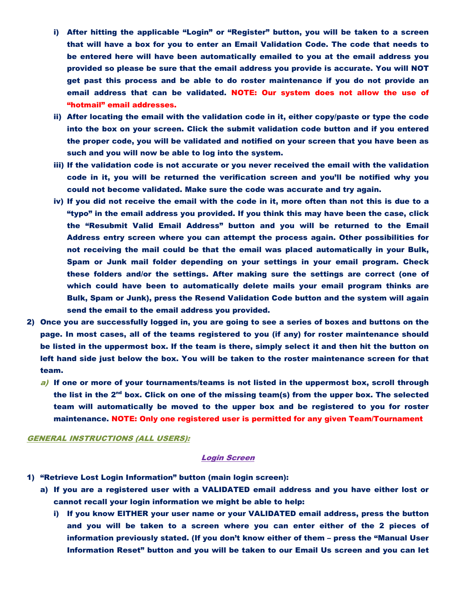- i) After hitting the applicable "Login" or "Register" button, you will be taken to a screen that will have a box for you to enter an Email Validation Code. The code that needs to be entered here will have been automatically emailed to you at the email address you provided so please be sure that the email address you provide is accurate. You will NOT get past this process and be able to do roster maintenance if you do not provide an email address that can be validated. NOTE: Our system does not allow the use of "hotmail" email addresses.
- ii) After locating the email with the validation code in it, either copy/paste or type the code into the box on your screen. Click the submit validation code button and if you entered the proper code, you will be validated and notified on your screen that you have been as such and you will now be able to log into the system.
- iii) If the validation code is not accurate or you never received the email with the validation code in it, you will be returned the verification screen and you'll be notified why you could not become validated. Make sure the code was accurate and try again.
- iv) If you did not receive the email with the code in it, more often than not this is due to a "typo" in the email address you provided. If you think this may have been the case, click the "Resubmit Valid Email Address" button and you will be returned to the Email Address entry screen where you can attempt the process again. Other possibilities for not receiving the mail could be that the email was placed automatically in your Bulk, Spam or Junk mail folder depending on your settings in your email program. Check these folders and/or the settings. After making sure the settings are correct (one of which could have been to automatically delete mails your email program thinks are Bulk, Spam or Junk), press the Resend Validation Code button and the system will again send the email to the email address you provided.
- 2) Once you are successfully logged in, you are going to see a series of boxes and buttons on the page. In most cases, all of the teams registered to you (if any) for roster maintenance should be listed in the uppermost box. If the team is there, simply select it and then hit the button on left hand side just below the box. You will be taken to the roster maintenance screen for that team.
	- $a$ ) If one or more of your tournaments/teams is not listed in the uppermost box, scroll through the list in the  $2<sup>nd</sup>$  box. Click on one of the missing team(s) from the upper box. The selected team will automatically be moved to the upper box and be registered to you for roster maintenance. NOTE: Only one registered user is permitted for any given Team/Tournament

#### GENERAL INSTRUCTIONS (ALL USERS):

#### Login Screen

- 1) "Retrieve Lost Login Information" button (main login screen):
	- a) If you are a registered user with a VALIDATED email address and you have either lost or cannot recall your login information we might be able to help:
		- i) If you know EITHER your user name or your VALIDATED email address, press the button and you will be taken to a screen where you can enter either of the 2 pieces of information previously stated. (If you don't know either of them – press the "Manual User Information Reset" button and you will be taken to our Email Us screen and you can let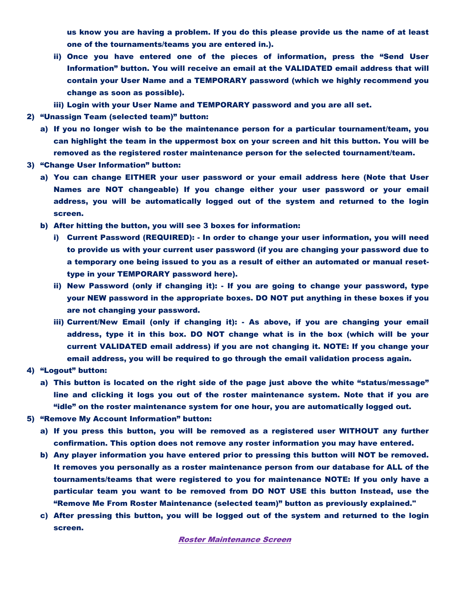us know you are having a problem. If you do this please provide us the name of at least one of the tournaments/teams you are entered in.).

- ii) Once you have entered one of the pieces of information, press the "Send User Information" button. You will receive an email at the VALIDATED email address that will contain your User Name and a TEMPORARY password (which we highly recommend you change as soon as possible).
- iii) Login with your User Name and TEMPORARY password and you are all set.
- 2) "Unassign Team (selected team)" button:
	- a) If you no longer wish to be the maintenance person for a particular tournament/team, you can highlight the team in the uppermost box on your screen and hit this button. You will be removed as the registered roster maintenance person for the selected tournament/team.
- 3) "Change User Information" button:
	- a) You can change EITHER your user password or your email address here (Note that User Names are NOT changeable) If you change either your user password or your email address, you will be automatically logged out of the system and returned to the login screen.
	- b) After hitting the button, you will see 3 boxes for information:
		- i) Current Password (REQUIRED): In order to change your user information, you will need to provide us with your current user password (if you are changing your password due to a temporary one being issued to you as a result of either an automated or manual resettype in your TEMPORARY password here).
		- ii) New Password (only if changing it): If you are going to change your password, type your NEW password in the appropriate boxes. DO NOT put anything in these boxes if you are not changing your password.
		- iii) Current/New Email (only if changing it): As above, if you are changing your email address, type it in this box. DO NOT change what is in the box (which will be your current VALIDATED email address) if you are not changing it. NOTE: If you change your email address, you will be required to go through the email validation process again.
- 4) "Logout" button:
	- a) This button is located on the right side of the page just above the white "status/message" line and clicking it logs you out of the roster maintenance system. Note that if you are "idle" on the roster maintenance system for one hour, you are automatically logged out.
- 5) "Remove My Account Information" button:
	- a) If you press this button, you will be removed as a registered user WITHOUT any further confirmation. This option does not remove any roster information you may have entered.
	- b) Any player information you have entered prior to pressing this button will NOT be removed. It removes you personally as a roster maintenance person from our database for ALL of the tournaments/teams that were registered to you for maintenance NOTE: If you only have a particular team you want to be removed from DO NOT USE this button Instead, use the "Remove Me From Roster Maintenance (selected team)" button as previously explained."
	- c) After pressing this button, you will be logged out of the system and returned to the login screen.